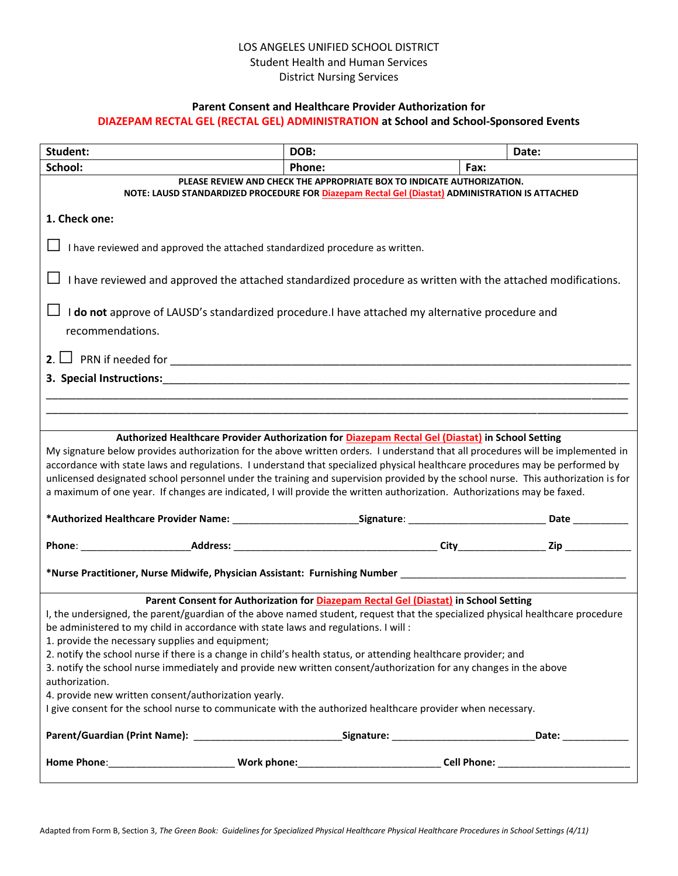# LOS ANGELES UNIFIED SCHOOL DISTRICT Student Health and Human Services District Nursing Services

### **Parent Consent and Healthcare Provider Authorization for**

#### **DIAZEPAM RECTAL GEL (RECTAL GEL) ADMINISTRATION at School and School-Sponsored Events**

| Student:                                                                                                                                                                                                                                                                                                                                                                                                                                                                                                                                                                                                                                                                                                                                                                                          | DOB:   |      | Date: |  |  |  |
|---------------------------------------------------------------------------------------------------------------------------------------------------------------------------------------------------------------------------------------------------------------------------------------------------------------------------------------------------------------------------------------------------------------------------------------------------------------------------------------------------------------------------------------------------------------------------------------------------------------------------------------------------------------------------------------------------------------------------------------------------------------------------------------------------|--------|------|-------|--|--|--|
| School:                                                                                                                                                                                                                                                                                                                                                                                                                                                                                                                                                                                                                                                                                                                                                                                           | Phone: | Fax: |       |  |  |  |
| PLEASE REVIEW AND CHECK THE APPROPRIATE BOX TO INDICATE AUTHORIZATION.<br>NOTE: LAUSD STANDARDIZED PROCEDURE FOR Diazepam Rectal Gel (Diastat) ADMINISTRATION IS ATTACHED                                                                                                                                                                                                                                                                                                                                                                                                                                                                                                                                                                                                                         |        |      |       |  |  |  |
| 1. Check one:                                                                                                                                                                                                                                                                                                                                                                                                                                                                                                                                                                                                                                                                                                                                                                                     |        |      |       |  |  |  |
| I have reviewed and approved the attached standardized procedure as written.                                                                                                                                                                                                                                                                                                                                                                                                                                                                                                                                                                                                                                                                                                                      |        |      |       |  |  |  |
| I have reviewed and approved the attached standardized procedure as written with the attached modifications.                                                                                                                                                                                                                                                                                                                                                                                                                                                                                                                                                                                                                                                                                      |        |      |       |  |  |  |
| I do not approve of LAUSD's standardized procedure. I have attached my alternative procedure and                                                                                                                                                                                                                                                                                                                                                                                                                                                                                                                                                                                                                                                                                                  |        |      |       |  |  |  |
| recommendations.                                                                                                                                                                                                                                                                                                                                                                                                                                                                                                                                                                                                                                                                                                                                                                                  |        |      |       |  |  |  |
|                                                                                                                                                                                                                                                                                                                                                                                                                                                                                                                                                                                                                                                                                                                                                                                                   |        |      |       |  |  |  |
| 3. Special Instructions: Annual Material Section of the Contract of Contract of Contract of Contract of Contract of Contract of Contract of Contract of Contract of Contract of Contract of Contract of Contract of Contract o                                                                                                                                                                                                                                                                                                                                                                                                                                                                                                                                                                    |        |      |       |  |  |  |
|                                                                                                                                                                                                                                                                                                                                                                                                                                                                                                                                                                                                                                                                                                                                                                                                   |        |      |       |  |  |  |
|                                                                                                                                                                                                                                                                                                                                                                                                                                                                                                                                                                                                                                                                                                                                                                                                   |        |      |       |  |  |  |
| Authorized Healthcare Provider Authorization for Diazepam Rectal Gel (Diastat) in School Setting<br>My signature below provides authorization for the above written orders. I understand that all procedures will be implemented in<br>accordance with state laws and regulations. I understand that specialized physical healthcare procedures may be performed by<br>unlicensed designated school personnel under the training and supervision provided by the school nurse. This authorization is for<br>a maximum of one year. If changes are indicated, I will provide the written authorization. Authorizations may be faxed.                                                                                                                                                               |        |      |       |  |  |  |
|                                                                                                                                                                                                                                                                                                                                                                                                                                                                                                                                                                                                                                                                                                                                                                                                   |        |      |       |  |  |  |
|                                                                                                                                                                                                                                                                                                                                                                                                                                                                                                                                                                                                                                                                                                                                                                                                   |        |      |       |  |  |  |
| *Nurse Practitioner, Nurse Midwife, Physician Assistant: Furnishing Number ___________________________________                                                                                                                                                                                                                                                                                                                                                                                                                                                                                                                                                                                                                                                                                    |        |      |       |  |  |  |
| Parent Consent for Authorization for Diazepam Rectal Gel (Diastat) in School Setting<br>I, the undersigned, the parent/guardian of the above named student, request that the specialized physical healthcare procedure<br>be administered to my child in accordance with state laws and regulations. I will :<br>1. provide the necessary supplies and equipment;<br>2. notify the school nurse if there is a change in child's health status, or attending healthcare provider; and<br>3. notify the school nurse immediately and provide new written consent/authorization for any changes in the above<br>authorization.<br>4. provide new written consent/authorization yearly.<br>I give consent for the school nurse to communicate with the authorized healthcare provider when necessary. |        |      |       |  |  |  |
|                                                                                                                                                                                                                                                                                                                                                                                                                                                                                                                                                                                                                                                                                                                                                                                                   |        |      |       |  |  |  |
|                                                                                                                                                                                                                                                                                                                                                                                                                                                                                                                                                                                                                                                                                                                                                                                                   |        |      |       |  |  |  |